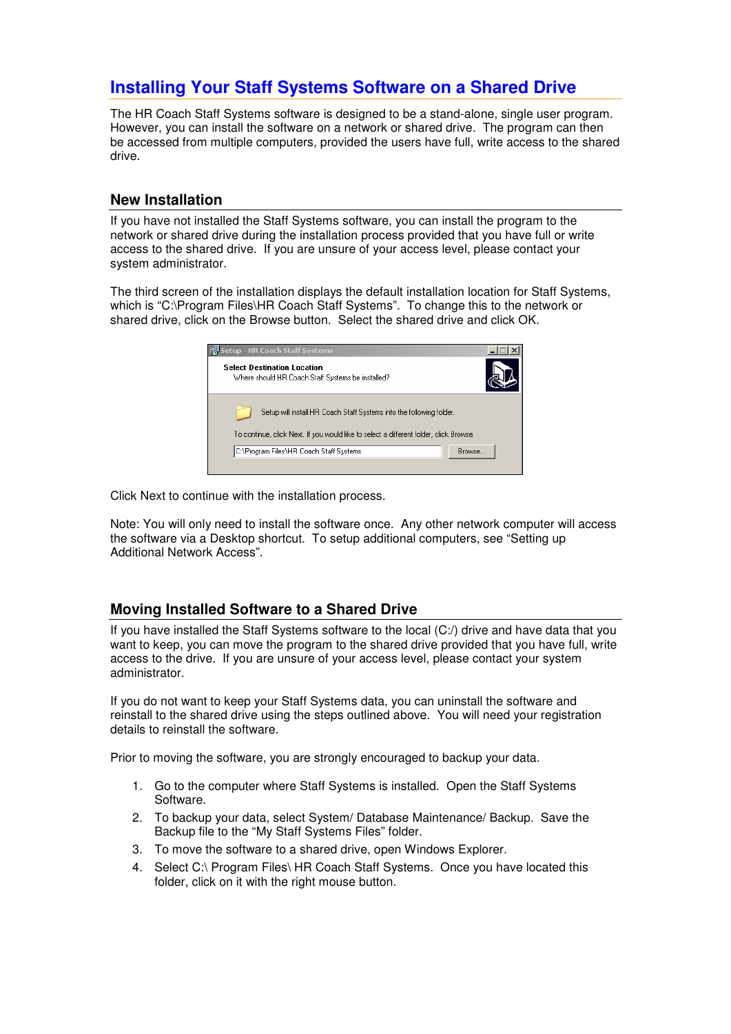## **Installing Your Staff Systems Software on a Shared Drive**

The HR Coach Staff Systems software is designed to be a stand-alone, single user program. However, you can install the software on a network or shared drive. The program can then be accessed from multiple computers, provided the users have full, write access to the shared drive.

## **New Installation**

If you have not installed the Staff Systems software, you can install the program to the network or shared drive during the installation process provided that you have full or write access to the shared drive. If you are unsure of your access level, please contact your system administrator.

The third screen of the installation displays the default installation location for Staff Systems, which is "C:\Program Files\HR Coach Staff Systems". To change this to the network or shared drive, click on the Browse button. Select the shared drive and click OK.



Click Next to continue with the installation process.

Note: You will only need to install the software once. Any other network computer will access the software via a Desktop shortcut. To setup additional computers, see "Setting up Additional Network Access".

## **Moving Installed Software to a Shared Drive**

If you have installed the Staff Systems software to the local (C:/) drive and have data that you want to keep, you can move the program to the shared drive provided that you have full, write access to the drive. If you are unsure of your access level, please contact your system administrator.

If you do not want to keep your Staff Systems data, you can uninstall the software and reinstall to the shared drive using the steps outlined above. You will need your registration details to reinstall the software.

Prior to moving the software, you are strongly encouraged to backup your data.

- 1. Go to the computer where Staff Systems is installed. Open the Staff Systems Software.
- 2. To backup your data, select System/ Database Maintenance/ Backup. Save the Backup file to the "My Staff Systems Files" folder.
- 3. To move the software to a shared drive, open Windows Explorer.
- 4. Select C:\ Program Files\ HR Coach Staff Systems. Once you have located this folder, click on it with the right mouse button.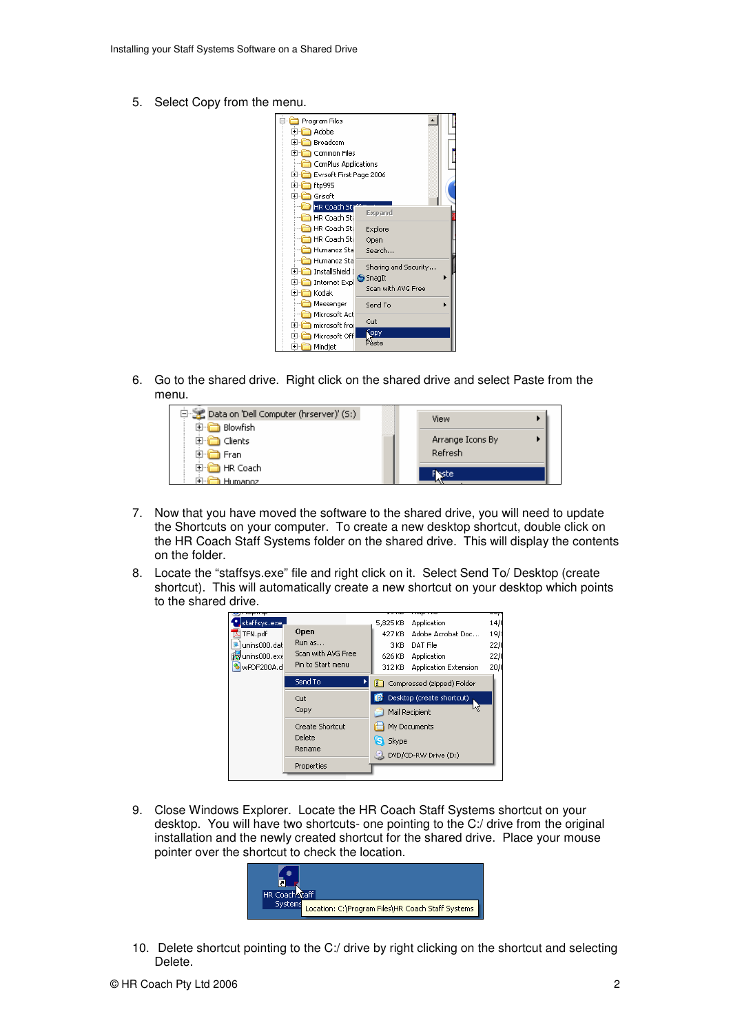5. Select Copy from the menu.



6. Go to the shared drive. Right click on the shared drive and select Paste from the menu.

| 白 Solata on 'Dell Computer (hrserver)' (S:) | View    |                  |
|---------------------------------------------|---------|------------------|
| Blowfish<br>∓⊡                              |         |                  |
| Clients                                     |         | Arrange Icons By |
| Fran                                        | Refresh |                  |
| HR Coach<br>l∓l…li                          | este    |                  |
| Humanoz                                     |         |                  |

- 7. Now that you have moved the software to the shared drive, you will need to update the Shortcuts on your computer. To create a new desktop shortcut, double click on the HR Coach Staff Systems folder on the shared drive. This will display the contents on the folder.
- 8. Locate the "staffsys.exe" file and right click on it. Select Send To/ Desktop (create shortcut). This will automatically create a new shortcut on your desktop which points to the shared drive.



9. Close Windows Explorer. Locate the HR Coach Staff Systems shortcut on your desktop. You will have two shortcuts- one pointing to the C:/ drive from the original installation and the newly created shortcut for the shared drive. Place your mouse pointer over the shortcut to check the location.



10. Delete shortcut pointing to the C:/ drive by right clicking on the shortcut and selecting Delete.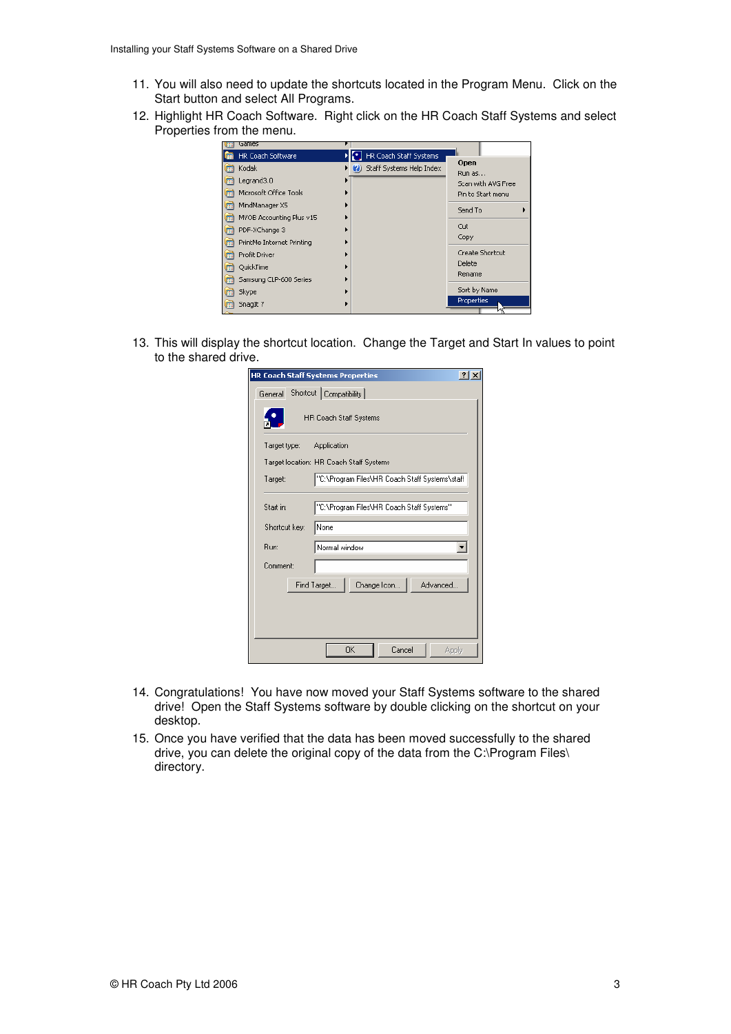- 11. You will also need to update the shortcuts located in the Program Menu. Click on the Start button and select All Programs.
- 12. Highlight HR Coach Software. Right click on the HR Coach Staff Systems and select Properties from the menu.

| Games                     |                                |                    |
|---------------------------|--------------------------------|--------------------|
| HR Coach Software         | HR Coach Staff Systems         |                    |
| Kodak                     | Staff Systems Help Index<br>ØJ | Open<br>Run as     |
| Legrand3.0                |                                | Scan with AVG Free |
| Microsoft Office Tools    |                                | Pin to Start menu  |
| MindManager X5            |                                | Send To            |
| MYOB Accounting Plus v15  |                                |                    |
| PDF-XChange 3             |                                | Cut                |
| PrintMe Internet Printing |                                | Copy               |
| Profit Driver             |                                | Create Shortcut    |
| QuickTime                 |                                | Delete             |
| Samsung CLP-600 Series    |                                | Rename             |
| Skype                     |                                | Sort by Name       |
| SnagIt 7                  |                                | Properties         |
|                           |                                |                    |

13. This will display the shortcut location. Change the Target and Start In values to point to the shared drive.

| <b>HR Coach Staff Systems Properties</b>                  | $ ?  \times$ |
|-----------------------------------------------------------|--------------|
| Shortcut   Compatibility  <br>General                     |              |
| <b>HR Coach Staff Systems</b>                             |              |
| Target type:<br>Application                               |              |
| Target location: HR Coach Staff Systems                   |              |
| "C:\Program Files\HR Coach Staff Systems\staff<br>Target: |              |
| "C:\Program Files\HR Coach Staff Systems"<br>Start in:    |              |
| None<br>Shortcut key:                                     |              |
| Run:<br>Normal window                                     |              |
| Comment:                                                  |              |
| Change Icon<br>Advanced<br>Find Target                    |              |
| <b>OK</b><br>Cancel<br>Apply                              |              |

- 14. Congratulations! You have now moved your Staff Systems software to the shared drive! Open the Staff Systems software by double clicking on the shortcut on your desktop.
- 15. Once you have verified that the data has been moved successfully to the shared drive, you can delete the original copy of the data from the C:\Program Files\ directory.